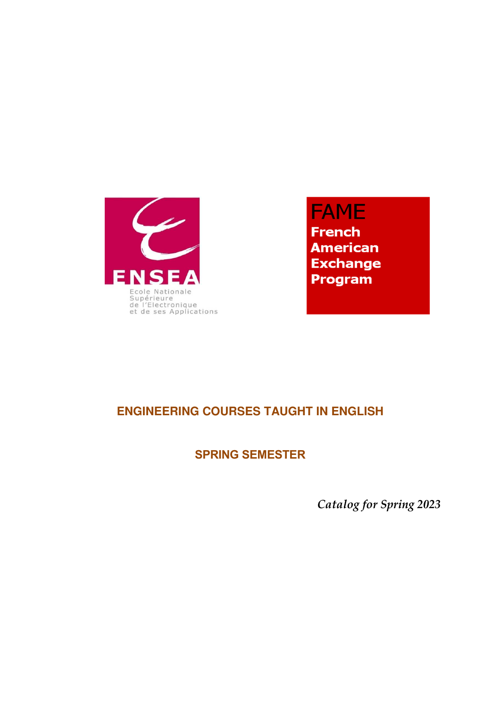

**FAME French American Exchange** Program

# **ENGINEERING COURSES TAUGHT IN ENGLISH**

# **SPRING SEMESTER**

*Catalog for Spring 2023*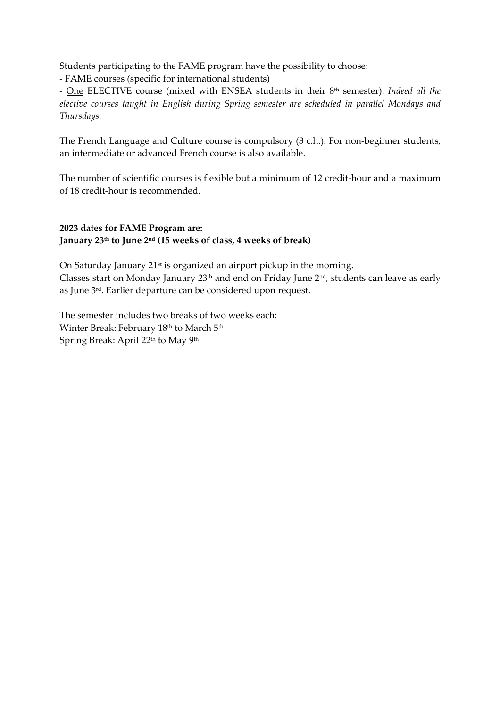Students participating to the FAME program have the possibility to choose:

- FAME courses (specific for international students)

- One ELECTIVE course (mixed with ENSEA students in their 8th semester). *Indeed all the elective courses taught in English during Spring semester are scheduled in parallel Mondays and Thursdays.*

The French Language and Culture course is compulsory (3 c.h.). For non-beginner students, an intermediate or advanced French course is also available.

The number of scientific courses is flexible but a minimum of 12 credit-hour and a maximum of 18 credit-hour is recommended.

# **2023 dates for FAME Program are: January 23th to June 2nd (15 weeks of class, 4 weeks of break)**

On Saturday January 21<sup>st</sup> is organized an airport pickup in the morning. Classes start on Monday January 23<sup>th</sup> and end on Friday June 2<sup>nd</sup>, students can leave as early as June 3rd. Earlier departure can be considered upon request.

The semester includes two breaks of two weeks each: Winter Break: February 18<sup>th</sup> to March 5<sup>th</sup> Spring Break: April 22<sup>th</sup> to May 9<sup>th</sup>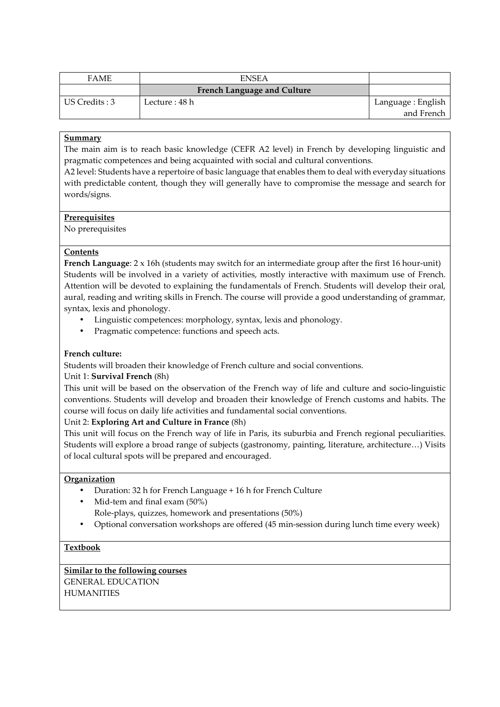| <b>FAME</b>    | <b>ENSEA</b>                       |                                  |
|----------------|------------------------------------|----------------------------------|
|                | <b>French Language and Culture</b> |                                  |
| US Credits : 3 | Lecture : 48 h                     | Language : English<br>and French |
|                |                                    |                                  |

The main aim is to reach basic knowledge (CEFR A2 level) in French by developing linguistic and pragmatic competences and being acquainted with social and cultural conventions.

A2 level: Students have a repertoire of basic language that enables them to deal with everyday situations with predictable content, though they will generally have to compromise the message and search for words/signs.

## **Prerequisites**

No prerequisites

## **Contents**

**French Language**: 2 x 16h (students may switch for an intermediate group after the first 16 hour-unit) Students will be involved in a variety of activities, mostly interactive with maximum use of French. Attention will be devoted to explaining the fundamentals of French. Students will develop their oral, aural, reading and writing skills in French. The course will provide a good understanding of grammar, syntax, lexis and phonology.

- Linguistic competences: morphology, syntax, lexis and phonology.
- Pragmatic competence: functions and speech acts.

## **French culture:**

Students will broaden their knowledge of French culture and social conventions.

# Unit 1: **Survival French** (8h)

This unit will be based on the observation of the French way of life and culture and socio-linguistic conventions. Students will develop and broaden their knowledge of French customs and habits. The course will focus on daily life activities and fundamental social conventions.

#### Unit 2: **Exploring Art and Culture in France** (8h)

This unit will focus on the French way of life in Paris, its suburbia and French regional peculiarities. Students will explore a broad range of subjects (gastronomy, painting, literature, architecture…) Visits of local cultural spots will be prepared and encouraged.

#### **Organization**

- Duration: 32 h for French Language + 16 h for French Culture
- Mid-tem and final exam (50%) Role-plays, quizzes, homework and presentations (50%)
- Optional conversation workshops are offered (45 min-session during lunch time every week)

# **Textbook**

# **Similar to the following courses**

GENERAL EDUCATION **HUMANITIES**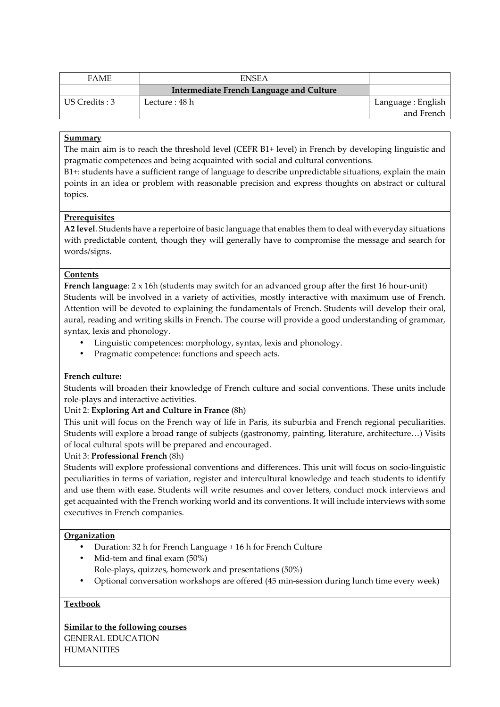| <b>ENSEA</b>                             |                                  |
|------------------------------------------|----------------------------------|
| Intermediate French Language and Culture |                                  |
| Lecture : 48 h                           | Language : English<br>and French |
|                                          |                                  |

The main aim is to reach the threshold level (CEFR B1+ level) in French by developing linguistic and pragmatic competences and being acquainted with social and cultural conventions.

B1+: students have a sufficient range of language to describe unpredictable situations, explain the main points in an idea or problem with reasonable precision and express thoughts on abstract or cultural topics.

## **Prerequisites**

**A2 level**. Students have a repertoire of basic language that enables them to deal with everyday situations with predictable content, though they will generally have to compromise the message and search for words/signs.

## **Contents**

**French language**: 2 x 16h (students may switch for an advanced group after the first 16 hour-unit) Students will be involved in a variety of activities, mostly interactive with maximum use of French. Attention will be devoted to explaining the fundamentals of French. Students will develop their oral, aural, reading and writing skills in French. The course will provide a good understanding of grammar, syntax, lexis and phonology.

- Linguistic competences: morphology, syntax, lexis and phonology.
- Pragmatic competence: functions and speech acts.

#### **French culture:**

Students will broaden their knowledge of French culture and social conventions. These units include role-plays and interactive activities.

#### Unit 2: **Exploring Art and Culture in France** (8h)

This unit will focus on the French way of life in Paris, its suburbia and French regional peculiarities. Students will explore a broad range of subjects (gastronomy, painting, literature, architecture…) Visits of local cultural spots will be prepared and encouraged.

#### Unit 3: **Professional French** (8h)

Students will explore professional conventions and differences. This unit will focus on socio-linguistic peculiarities in terms of variation, register and intercultural knowledge and teach students to identify and use them with ease. Students will write resumes and cover letters, conduct mock interviews and get acquainted with the French working world and its conventions. It will include interviews with some executives in French companies.

# **Organization**

- Duration: 32 h for French Language + 16 h for French Culture
- Mid-tem and final exam (50%) Role-plays, quizzes, homework and presentations (50%)
- Optional conversation workshops are offered (45 min-session during lunch time every week)

# **Textbook**

**Similar to the following courses**

GENERAL EDUCATION HUMANITIES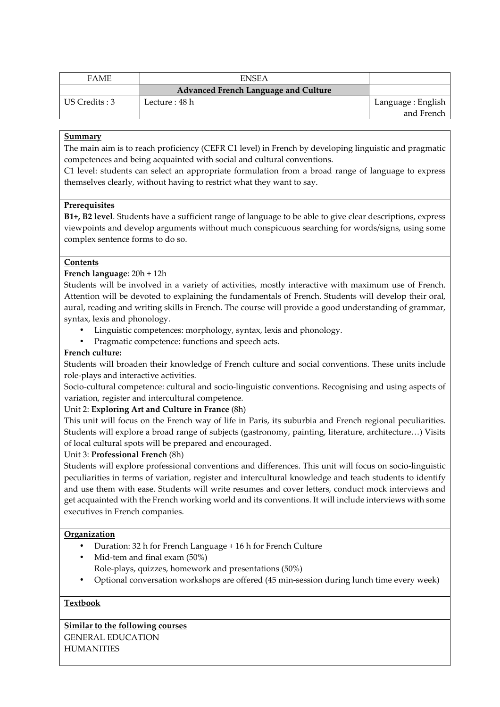| <b>FAME</b>    | <b>ENSEA</b>                         |                    |
|----------------|--------------------------------------|--------------------|
|                | Advanced French Language and Culture |                    |
| US Credits : 3 | Lecture : 48 h                       | Language : English |
|                |                                      | and French         |

The main aim is to reach proficiency (CEFR C1 level) in French by developing linguistic and pragmatic competences and being acquainted with social and cultural conventions.

C1 level: students can select an appropriate formulation from a broad range of language to express themselves clearly, without having to restrict what they want to say.

#### **Prerequisites**

**B1+, B2 level**. Students have a sufficient range of language to be able to give clear descriptions, express viewpoints and develop arguments without much conspicuous searching for words/signs, using some complex sentence forms to do so.

#### **Contents**

#### **French language**: 20h + 12h

Students will be involved in a variety of activities, mostly interactive with maximum use of French. Attention will be devoted to explaining the fundamentals of French. Students will develop their oral, aural, reading and writing skills in French. The course will provide a good understanding of grammar, syntax, lexis and phonology.

- Linguistic competences: morphology, syntax, lexis and phonology.
- Pragmatic competence: functions and speech acts.

#### **French culture:**

Students will broaden their knowledge of French culture and social conventions. These units include role-plays and interactive activities.

Socio-cultural competence: cultural and socio-linguistic conventions. Recognising and using aspects of variation, register and intercultural competence.

#### Unit 2: **Exploring Art and Culture in France** (8h)

This unit will focus on the French way of life in Paris, its suburbia and French regional peculiarities. Students will explore a broad range of subjects (gastronomy, painting, literature, architecture…) Visits of local cultural spots will be prepared and encouraged.

#### Unit 3: **Professional French** (8h)

Students will explore professional conventions and differences. This unit will focus on socio-linguistic peculiarities in terms of variation, register and intercultural knowledge and teach students to identify and use them with ease. Students will write resumes and cover letters, conduct mock interviews and get acquainted with the French working world and its conventions. It will include interviews with some executives in French companies.

#### **Organization**

- Duration: 32 h for French Language + 16 h for French Culture
- Mid-tem and final exam (50%) Role-plays, quizzes, homework and presentations (50%)
- Optional conversation workshops are offered (45 min-session during lunch time every week)

## **Textbook**

**Similar to the following courses** GENERAL EDUCATION

**HUMANITIES**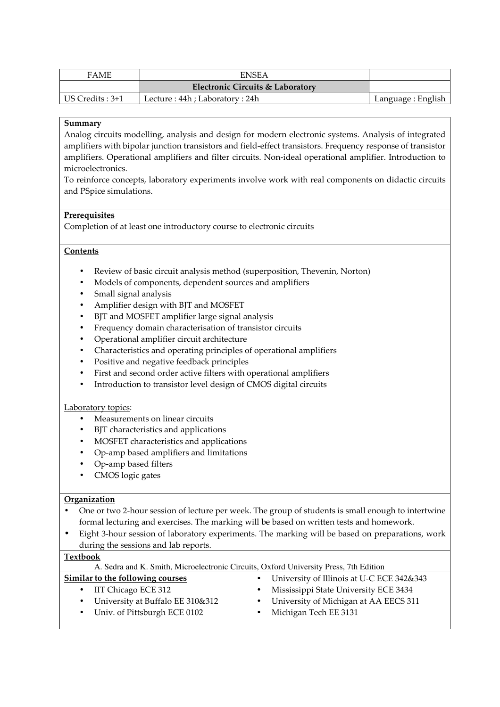| <b>FAME</b>      | <b>ENSEA</b>                     |                    |
|------------------|----------------------------------|--------------------|
|                  | Electronic Circuits & Laboratory |                    |
| US Credits : 3+1 | Lecture : 44h ; Laboratory : 24h | Language : English |

Analog circuits modelling, analysis and design for modern electronic systems. Analysis of integrated amplifiers with bipolar junction transistors and field-effect transistors. Frequency response of transistor amplifiers. Operational amplifiers and filter circuits. Non-ideal operational amplifier. Introduction to microelectronics.

To reinforce concepts, laboratory experiments involve work with real components on didactic circuits and PSpice simulations.

#### **Prerequisites**

Completion of at least one introductory course to electronic circuits

#### **Contents**

- Review of basic circuit analysis method (superposition, Thevenin, Norton)
- Models of components, dependent sources and amplifiers
- Small signal analysis
- Amplifier design with BJT and MOSFET
- BJT and MOSFET amplifier large signal analysis
- Frequency domain characterisation of transistor circuits
- Operational amplifier circuit architecture
- Characteristics and operating principles of operational amplifiers
- Positive and negative feedback principles
- First and second order active filters with operational amplifiers
- Introduction to transistor level design of CMOS digital circuits

#### Laboratory topics:

- Measurements on linear circuits
- BJT characteristics and applications
- MOSFET characteristics and applications
- Op-amp based amplifiers and limitations
- Op-amp based filters
- CMOS logic gates

#### **Organization**

- One or two 2-hour session of lecture per week. The group of students is small enough to intertwine formal lecturing and exercises. The marking will be based on written tests and homework.
- Eight 3-hour session of laboratory experiments. The marking will be based on preparations, work during the sessions and lab reports.

#### **Textbook**

| * CYLD OOT<br>A. Sedra and K. Smith, Microelectronic Circuits, Oxford University Press, 7th Edition |                                           |  |  |  |
|-----------------------------------------------------------------------------------------------------|-------------------------------------------|--|--|--|
| Similar to the following courses                                                                    | University of Illinois at U-C ECE 342&343 |  |  |  |
| IIT Chicago ECE 312<br>$\bullet$                                                                    | Mississippi State University ECE 3434     |  |  |  |
| University at Buffalo EE 310&312<br>$\bullet$                                                       | University of Michigan at AA EECS 311     |  |  |  |
| • Univ. of Pittsburgh ECE 0102                                                                      | Michigan Tech EE 3131                     |  |  |  |
|                                                                                                     |                                           |  |  |  |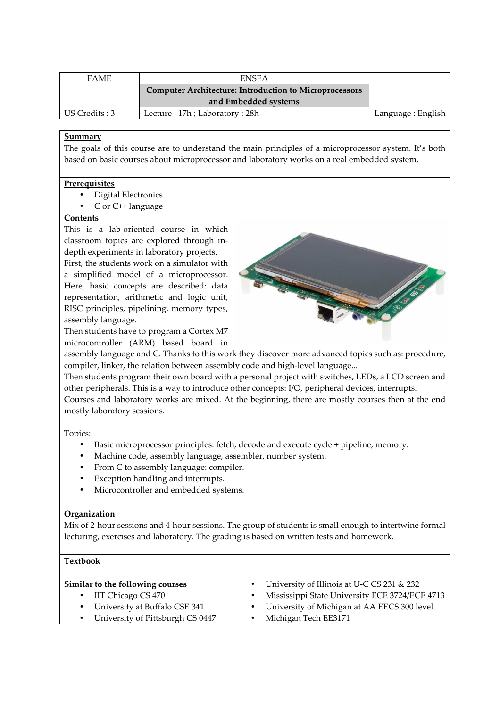| <b>FAME</b>    | <b>ENSEA</b>                                                  |                    |
|----------------|---------------------------------------------------------------|--------------------|
|                | <b>Computer Architecture: Introduction to Microprocessors</b> |                    |
|                | and Embedded systems                                          |                    |
| US Credits : 3 | Lecture: 17h; Laboratory: 28h                                 | Language : English |

The goals of this course are to understand the main principles of a microprocessor system. It's both based on basic courses about microprocessor and laboratory works on a real embedded system.

#### **Prerequisites**

- Digital Electronics
- C or C++ language

# **Contents**

This is a lab-oriented course in which classroom topics are explored through indepth experiments in laboratory projects.

First, the students work on a simulator with a simplified model of a microprocessor. Here, basic concepts are described: data representation, arithmetic and logic unit, RISC principles, pipelining, memory types, assembly language.

Then students have to program a Cortex M7 microcontroller (ARM) based board in



assembly language and C. Thanks to this work they discover more advanced topics such as: procedure, compiler, linker, the relation between assembly code and high-level language...

Then students program their own board with a personal project with switches, LEDs, a LCD screen and other peripherals. This is a way to introduce other concepts: I/O, peripheral devices, interrupts. Courses and laboratory works are mixed. At the beginning, there are mostly courses then at the end mostly laboratory sessions.

Topics:

- Basic microprocessor principles: fetch, decode and execute cycle + pipeline, memory.
- Machine code, assembly language, assembler, number system.
- From C to assembly language: compiler.
- Exception handling and interrupts.
- Microcontroller and embedded systems.

#### **Organization**

Mix of 2-hour sessions and 4-hour sessions. The group of students is small enough to intertwine formal lecturing, exercises and laboratory. The grading is based on written tests and homework.

#### **Textbook**

| Similar to the following courses   | • University of Illinois at U-C CS 231 & 232   |
|------------------------------------|------------------------------------------------|
| $\bullet$ IIT Chicago CS 470       | Mississippi State University ECE 3724/ECE 4713 |
| • University at Buffalo CSE 341    | • University of Michigan at AA EECS 300 level  |
| • University of Pittsburgh CS 0447 | Michigan Tech EE3171                           |
|                                    |                                                |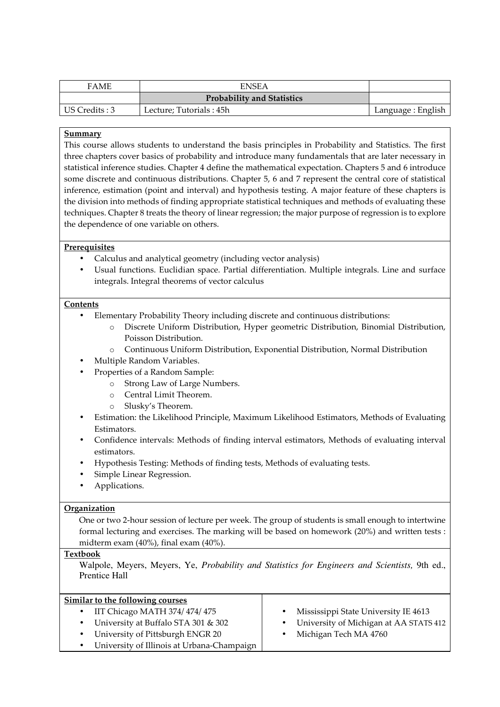| <b>FAME</b>    | <b>ENSEA</b>                      |                    |
|----------------|-----------------------------------|--------------------|
|                | <b>Probability and Statistics</b> |                    |
| US Credits : 3 | Lecture; Tutorials : 45h          | Language : English |

This course allows students to understand the basis principles in Probability and Statistics. The first three chapters cover basics of probability and introduce many fundamentals that are later necessary in statistical inference studies. Chapter 4 define the mathematical expectation. Chapters 5 and 6 introduce some discrete and continuous distributions. Chapter 5, 6 and 7 represent the central core of statistical inference, estimation (point and interval) and hypothesis testing. A major feature of these chapters is the division into methods of finding appropriate statistical techniques and methods of evaluating these techniques. Chapter 8 treats the theory of linear regression; the major purpose of regression is to explore the dependence of one variable on others.

## **Prerequisites**

- Calculus and analytical geometry (including vector analysis)
- Usual functions. Euclidian space. Partial differentiation. Multiple integrals. Line and surface integrals. Integral theorems of vector calculus

#### **Contents**

- Elementary Probability Theory including discrete and continuous distributions:
	- o Discrete Uniform Distribution, Hyper geometric Distribution, Binomial Distribution, Poisson Distribution.
	- o Continuous Uniform Distribution, Exponential Distribution, Normal Distribution
- Multiple Random Variables.
- Properties of a Random Sample:
	- o Strong Law of Large Numbers.
	- o Central Limit Theorem.
	- o Slusky's Theorem.
- Estimation: the Likelihood Principle, Maximum Likelihood Estimators, Methods of Evaluating Estimators.
- Confidence intervals: Methods of finding interval estimators, Methods of evaluating interval estimators.
- Hypothesis Testing: Methods of finding tests, Methods of evaluating tests.
- Simple Linear Regression.
- Applications.

#### **Organization**

One or two 2-hour session of lecture per week. The group of students is small enough to intertwine formal lecturing and exercises. The marking will be based on homework (20%) and written tests : midterm exam (40%), final exam (40%).

#### **Textbook**

Walpole, Meyers, Meyers, Ye, *Probability and Statistics for Engineers and Scientists,* 9th ed., Prentice Hall

| Similar to the following courses           |                                          |
|--------------------------------------------|------------------------------------------|
| IIT Chicago MATH 374/474/475               | Mississippi State University IE 4613     |
| University at Buffalo STA 301 & 302        | • University of Michigan at AA STATS 412 |
| University of Pittsburgh ENGR 20           | Michigan Tech MA 4760                    |
| University of Illinois at Urbana-Champaign |                                          |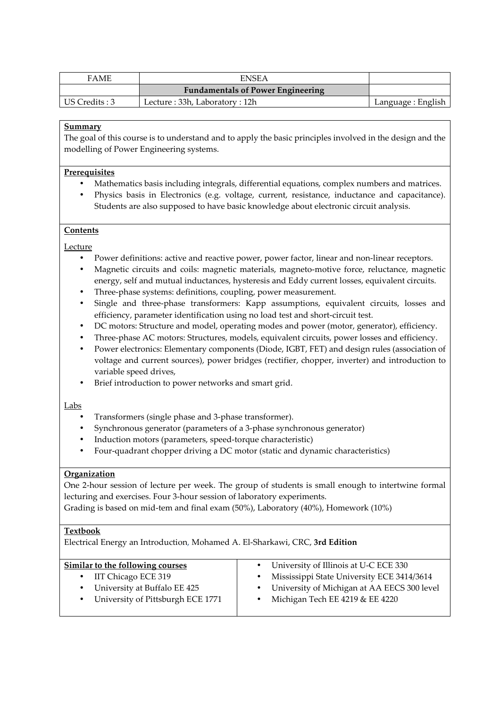| <b>FAME</b>    | <b>ENSEA</b>                             |                    |
|----------------|------------------------------------------|--------------------|
|                | <b>Fundamentals of Power Engineering</b> |                    |
| US Credits : 3 | Lecture: 33h, Laboratory: 12h            | Language : English |

The goal of this course is to understand and to apply the basic principles involved in the design and the modelling of Power Engineering systems.

#### **Prerequisites**

- Mathematics basis including integrals, differential equations, complex numbers and matrices.
- Physics basis in Electronics (e.g. voltage, current, resistance, inductance and capacitance). Students are also supposed to have basic knowledge about electronic circuit analysis.

#### **Contents**

Lecture

- Power definitions: active and reactive power, power factor, linear and non-linear receptors.
- Magnetic circuits and coils: magnetic materials, magneto-motive force, reluctance, magnetic energy, self and mutual inductances, hysteresis and Eddy current losses, equivalent circuits.
- Three-phase systems: definitions, coupling, power measurement.
- Single and three-phase transformers: Kapp assumptions, equivalent circuits, losses and efficiency, parameter identification using no load test and short-circuit test.
- DC motors: Structure and model, operating modes and power (motor, generator), efficiency.
- Three-phase AC motors: Structures, models, equivalent circuits, power losses and efficiency.
- Power electronics: Elementary components (Diode, IGBT, FET) and design rules (association of voltage and current sources), power bridges (rectifier, chopper, inverter) and introduction to variable speed drives,
- Brief introduction to power networks and smart grid.

Labs

- Transformers (single phase and 3-phase transformer).
- Synchronous generator (parameters of a 3-phase synchronous generator)
- Induction motors (parameters, speed-torque characteristic)
- Four-quadrant chopper driving a DC motor (static and dynamic characteristics)

## **Organization**

One 2-hour session of lecture per week. The group of students is small enough to intertwine formal lecturing and exercises. Four 3-hour session of laboratory experiments.

Grading is based on mid-tem and final exam (50%), Laboratory (40%), Homework (10%)

#### **Textbook**

Electrical Energy an Introduction, Mohamed A. El-Sharkawi, CRC, **3rd Edition**

| Similar to the following courses  | University of Illinois at U-C ECE 330       |
|-----------------------------------|---------------------------------------------|
| IIT Chicago ECE 319               | Mississippi State University ECE 3414/3614  |
| University at Buffalo EE 425      | University of Michigan at AA EECS 300 level |
| University of Pittsburgh ECE 1771 | Michigan Tech EE 4219 & EE 4220             |
|                                   |                                             |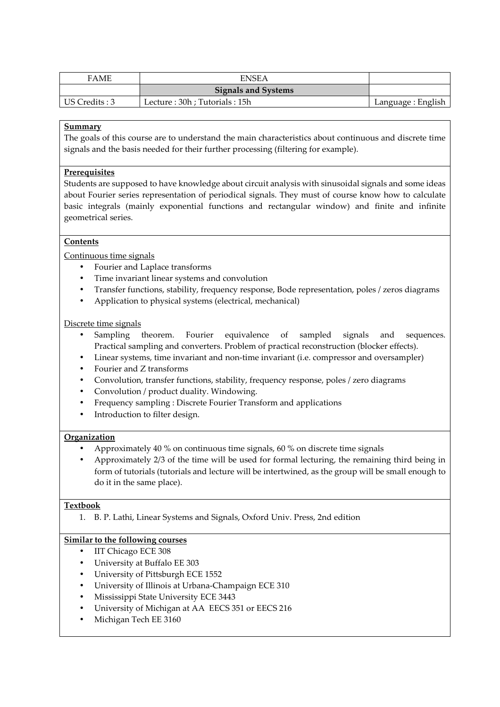| <b>FAME</b>    | <b>ENSEA</b>                 |                    |
|----------------|------------------------------|--------------------|
|                | <b>Signals and Systems</b>   |                    |
| US Credits : 3 | Lecture: 30h; Tutorials: 15h | Language : English |

The goals of this course are to understand the main characteristics about continuous and discrete time signals and the basis needed for their further processing (filtering for example).

## **Prerequisites**

Students are supposed to have knowledge about circuit analysis with sinusoidal signals and some ideas about Fourier series representation of periodical signals. They must of course know how to calculate basic integrals (mainly exponential functions and rectangular window) and finite and infinite geometrical series.

# **Contents**

Continuous time signals

- Fourier and Laplace transforms
- Time invariant linear systems and convolution
- Transfer functions, stability, frequency response, Bode representation, poles / zeros diagrams
- Application to physical systems (electrical, mechanical)

#### Discrete time signals

- Sampling theorem. Fourier equivalence of sampled signals and sequences. Practical sampling and converters. Problem of practical reconstruction (blocker effects).
- Linear systems, time invariant and non-time invariant (i.e. compressor and oversampler)
- Fourier and Z transforms
- Convolution, transfer functions, stability, frequency response, poles / zero diagrams
- Convolution / product duality. Windowing.
- Frequency sampling : Discrete Fourier Transform and applications
- Introduction to filter design.

#### **Organization**

- Approximately 40 % on continuous time signals, 60 % on discrete time signals
- Approximately 2/3 of the time will be used for formal lecturing, the remaining third being in form of tutorials (tutorials and lecture will be intertwined, as the group will be small enough to do it in the same place).

#### **Textbook**

1. B. P. Lathi, Linear Systems and Signals, Oxford Univ. Press, 2nd edition

- IIT Chicago ECE 308
- University at Buffalo EE 303
- University of Pittsburgh ECE 1552
- University of Illinois at Urbana-Champaign ECE 310
- Mississippi State University ECE 3443
- University of Michigan at AA EECS 351 or EECS 216
- Michigan Tech EE 3160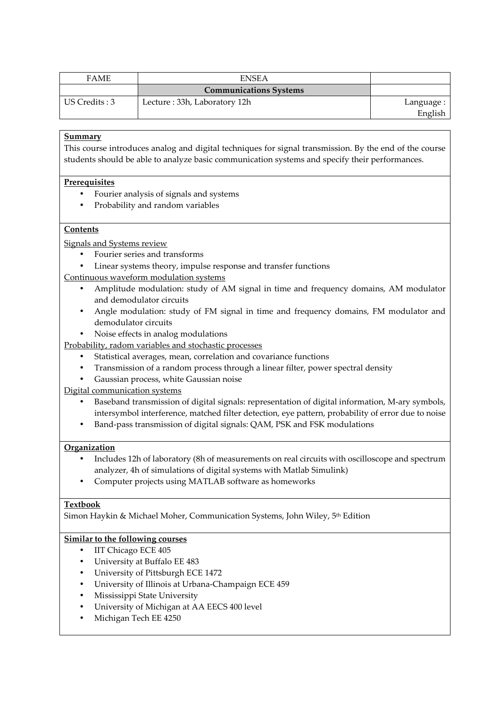| <b>FAME</b>    | <b>ENSEA</b>                  |            |
|----------------|-------------------------------|------------|
|                | <b>Communications Systems</b> |            |
| US Credits : 3 | Lecture: 33h, Laboratory 12h  | Language : |
|                |                               | English    |

This course introduces analog and digital techniques for signal transmission. By the end of the course students should be able to analyze basic communication systems and specify their performances.

## **Prerequisites**

- Fourier analysis of signals and systems
- Probability and random variables

## **Contents**

Signals and Systems review

- Fourier series and transforms
- Linear systems theory, impulse response and transfer functions

## Continuous waveform modulation systems

- Amplitude modulation: study of AM signal in time and frequency domains, AM modulator and demodulator circuits
- Angle modulation: study of FM signal in time and frequency domains, FM modulator and demodulator circuits
- Noise effects in analog modulations

Probability, radom variables and stochastic processes

- Statistical averages, mean, correlation and covariance functions
- Transmission of a random process through a linear filter, power spectral density
- Gaussian process, white Gaussian noise

Digital communication systems

- Baseband transmission of digital signals: representation of digital information, M-ary symbols, intersymbol interference, matched filter detection, eye pattern, probability of error due to noise
- Band-pass transmission of digital signals: QAM, PSK and FSK modulations

#### **Organization**

- Includes 12h of laboratory (8h of measurements on real circuits with oscilloscope and spectrum analyzer, 4h of simulations of digital systems with Matlab Simulink)
- Computer projects using MATLAB software as homeworks

#### **Textbook**

Simon Haykin & Michael Moher, Communication Systems, John Wiley, 5th Edition

- IIT Chicago ECE 405
- University at Buffalo EE 483
- University of Pittsburgh ECE 1472
- University of Illinois at Urbana-Champaign ECE 459
- Mississippi State University
- University of Michigan at AA EECS 400 level
- Michigan Tech EE 4250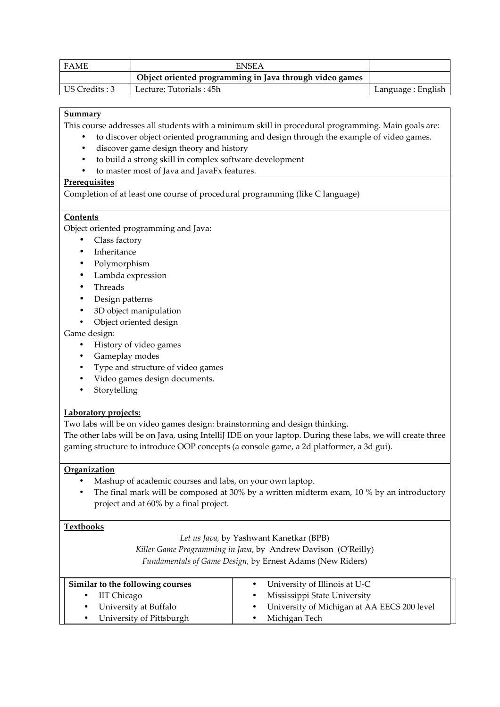| <b>FAME</b>    | <b>ENSEA</b>                                            |                    |
|----------------|---------------------------------------------------------|--------------------|
|                | Object oriented programming in Java through video games |                    |
| US Credits : 3 | Lecture: Tutorials : 45h                                | Language : English |

This course addresses all students with a minimum skill in procedural programming. Main goals are:

- to discover object oriented programming and design through the example of video games.
- discover game design theory and history
- to build a strong skill in complex software development
- to master most of Java and JavaFx features.

## **Prerequisites**

Completion of at least one course of procedural programming (like C language)

## **Contents**

Object oriented programming and Java:

- Class factory
- **Inheritance**
- Polymorphism
- Lambda expression
- Threads
- Design patterns
- 3D object manipulation
- Object oriented design

## Game design:

- History of video games
- Gameplay modes
- Type and structure of video games
- Video games design documents.
- **Storytelling**

# **Laboratory projects:**

Two labs will be on video games design: brainstorming and design thinking.

The other labs will be on Java, using IntelliJ IDE on your laptop. During these labs, we will create three gaming structure to introduce OOP concepts (a console game, a 2d platformer, a 3d gui).

#### **Organization**

- Mashup of academic courses and labs, on your own laptop.
- The final mark will be composed at 30% by a written midterm exam, 10 % by an introductory project and at 60% by a final project.

#### **Textbooks**

*Let us Java,* by Yashwant Kanetkar (BPB)

*Killer Game Programming in Java*, by Andrew Davison (O'Reilly)

*Fundamentals of Game Design,* by Ernest Adams (New Riders)

| Similar to the following courses | • University of Illinois at U-C               |
|----------------------------------|-----------------------------------------------|
| IIT Chicago                      | Mississippi State University                  |
| • University at Buffalo          | • University of Michigan at AA EECS 200 level |
| University of Pittsburgh         | Michigan Tech                                 |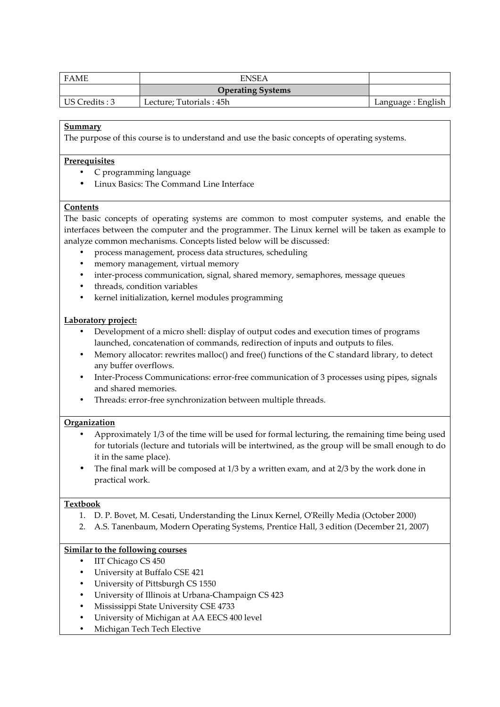| <b>FAME</b>    | <b>ENSEA</b>             |                    |
|----------------|--------------------------|--------------------|
|                | <b>Operating Systems</b> |                    |
| US Credits : 3 | Lecture; Tutorials : 45h | Language : English |

The purpose of this course is to understand and use the basic concepts of operating systems.

#### **Prerequisites**

- C programming language
- Linux Basics: The Command Line Interface

#### **Contents**

The basic concepts of operating systems are common to most computer systems, and enable the interfaces between the computer and the programmer. The Linux kernel will be taken as example to analyze common mechanisms. Concepts listed below will be discussed:

- process management, process data structures, scheduling
- memory management, virtual memory
- inter-process communication, signal, shared memory, semaphores, message queues
- threads, condition variables
- kernel initialization, kernel modules programming

#### **Laboratory project:**

- Development of a micro shell: display of output codes and execution times of programs launched, concatenation of commands, redirection of inputs and outputs to files.
- Memory allocator: rewrites malloc() and free() functions of the C standard library, to detect any buffer overflows.
- Inter-Process Communications: error-free communication of 3 processes using pipes, signals and shared memories.
- Threads: error-free synchronization between multiple threads.

#### **Organization**

- Approximately 1/3 of the time will be used for formal lecturing, the remaining time being used for tutorials (lecture and tutorials will be intertwined, as the group will be small enough to do it in the same place).
- The final mark will be composed at 1/3 by a written exam, and at 2/3 by the work done in practical work.

#### **Textbook**

- 1. D. P. Bovet, M. Cesati, Understanding the Linux Kernel, O'Reilly Media (October 2000)
- 2. A.S. Tanenbaum, Modern Operating Systems, Prentice Hall, 3 edition (December 21, 2007)

- IIT Chicago CS 450
- University at Buffalo CSE 421
- University of Pittsburgh CS 1550
- University of Illinois at Urbana-Champaign CS 423
- Mississippi State University CSE 4733
- University of Michigan at AA EECS 400 level
- Michigan Tech Tech Elective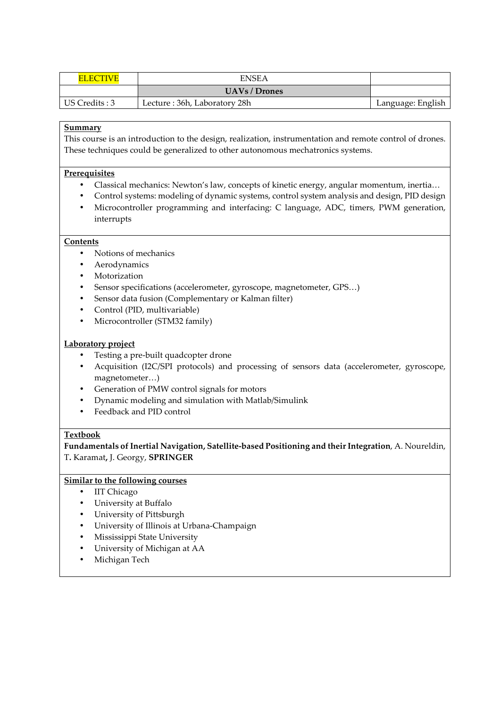| <b>ELECTIVE</b> | <b>ENSEA</b>                 |                   |
|-----------------|------------------------------|-------------------|
|                 | <b>UAVs / Drones</b>         |                   |
| US Credits: 3   | Lecture: 36h, Laboratory 28h | Language: English |

This course is an introduction to the design, realization, instrumentation and remote control of drones. These techniques could be generalized to other autonomous mechatronics systems.

#### **Prerequisites**

- Classical mechanics: Newton's law, concepts of kinetic energy, angular momentum, inertia...
- Control systems: modeling of dynamic systems, control system analysis and design, PID design
- Microcontroller programming and interfacing: C language, ADC, timers, PWM generation, interrupts

# **Contents**

- Notions of mechanics
- **Aerodynamics**
- **Motorization**
- Sensor specifications (accelerometer, gyroscope, magnetometer, GPS…)
- Sensor data fusion (Complementary or Kalman filter)
- Control (PID, multivariable)
- Microcontroller (STM32 family)

#### **Laboratory project**

- Testing a pre-built quadcopter drone
- Acquisition (I2C/SPI protocols) and processing of sensors data (accelerometer, gyroscope, magnetometer…)
- Generation of PMW control signals for motors
- Dynamic modeling and simulation with Matlab/Simulink
- Feedback and PID control

#### **Textbook**

**Fundamentals of Inertial Navigation, Satellite-based Positioning and their Integration**, A. Noureldin, T**.** Karamat**,** J. Georgy, **SPRINGER**

- IIT Chicago
- University at Buffalo
- University of Pittsburgh
- University of Illinois at Urbana-Champaign
- Mississippi State University
- University of Michigan at AA
- Michigan Tech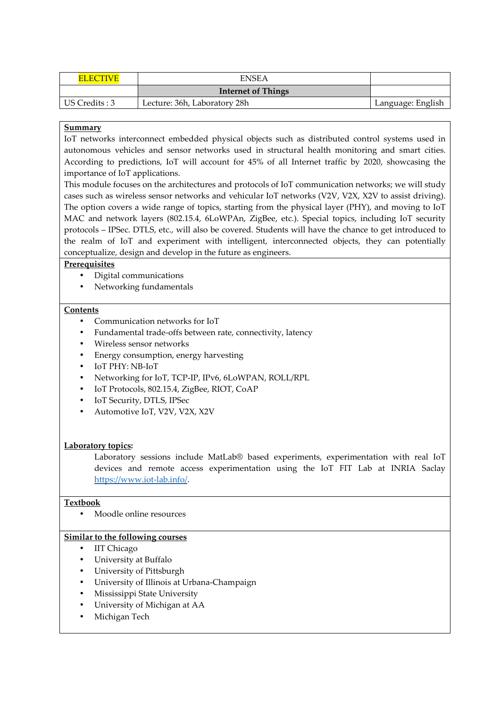| <b>FI ECTIVE</b> | <b>ENSEA</b>                 |                   |
|------------------|------------------------------|-------------------|
|                  | <b>Internet of Things</b>    |                   |
| US Credits : 3   | Lecture: 36h, Laboratory 28h | Language: English |

IoT networks interconnect embedded physical objects such as distributed control systems used in autonomous vehicles and sensor networks used in structural health monitoring and smart cities. According to predictions, IoT will account for 45% of all Internet traffic by 2020, showcasing the importance of IoT applications.

This module focuses on the architectures and protocols of IoT communication networks; we will study cases such as wireless sensor networks and vehicular IoT networks (V2V, V2X, X2V to assist driving). The option covers a wide range of topics, starting from the physical layer (PHY), and moving to IoT MAC and network layers (802.15.4, 6LoWPAn, ZigBee, etc.). Special topics, including IoT security protocols – IPSec. DTLS, etc., will also be covered. Students will have the chance to get introduced to the realm of IoT and experiment with intelligent, interconnected objects, they can potentially conceptualize, design and develop in the future as engineers.

## **Prerequisites**

- Digital communications
- Networking fundamentals

#### **Contents**

- Communication networks for IoT
- Fundamental trade-offs between rate, connectivity, latency
- Wireless sensor networks
- Energy consumption, energy harvesting
- IoT PHY: NB-IoT
- Networking for IoT, TCP-IP, IPv6, 6LoWPAN, ROLL/RPL
- IoT Protocols, 802.15.4, ZigBee, RIOT, CoAP
- IoT Security, DTLS, IPSec
- Automotive IoT, V2V, V2X, X2V

#### **Laboratory topics:**

Laboratory sessions include MatLab® based experiments, experimentation with real IoT devices and remote access experimentation using the IoT FIT Lab at INRIA Saclay https://www.iot-lab.info/.

#### **Textbook**

• Moodle online resources

- IIT Chicago
- University at Buffalo
- University of Pittsburgh
- University of Illinois at Urbana-Champaign
- Mississippi State University
- University of Michigan at AA
- Michigan Tech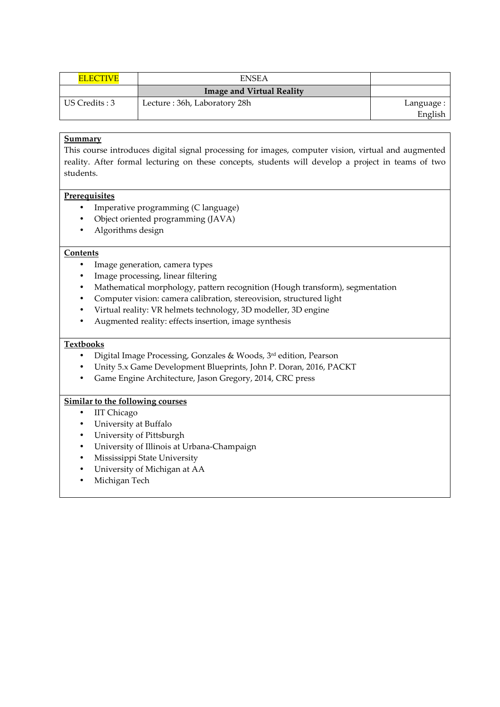| <b>ELECTIVE</b> | <b>ENSEA</b>                     |            |
|-----------------|----------------------------------|------------|
|                 | <b>Image and Virtual Reality</b> |            |
| US Credits : 3  | Lecture: 36h, Laboratory 28h     | Language : |
|                 |                                  | English    |

This course introduces digital signal processing for images, computer vision, virtual and augmented reality. After formal lecturing on these concepts, students will develop a project in teams of two students.

#### **Prerequisites**

- Imperative programming (C language)
- Object oriented programming (JAVA)
- Algorithms design

# **Contents**

- Image generation, camera types
- Image processing, linear filtering
- Mathematical morphology, pattern recognition (Hough transform), segmentation
- Computer vision: camera calibration, stereovision, structured light
- Virtual reality: VR helmets technology, 3D modeller, 3D engine
- Augmented reality: effects insertion, image synthesis

# **Textbooks**

- Digital Image Processing, Gonzales & Woods,  $3<sup>rd</sup>$  edition, Pearson
- Unity 5.x Game Development Blueprints, John P. Doran, 2016, PACKT
- Game Engine Architecture, Jason Gregory, 2014, CRC press

- IIT Chicago
- University at Buffalo
- University of Pittsburgh
- University of Illinois at Urbana-Champaign
- Mississippi State University
- University of Michigan at AA
- Michigan Tech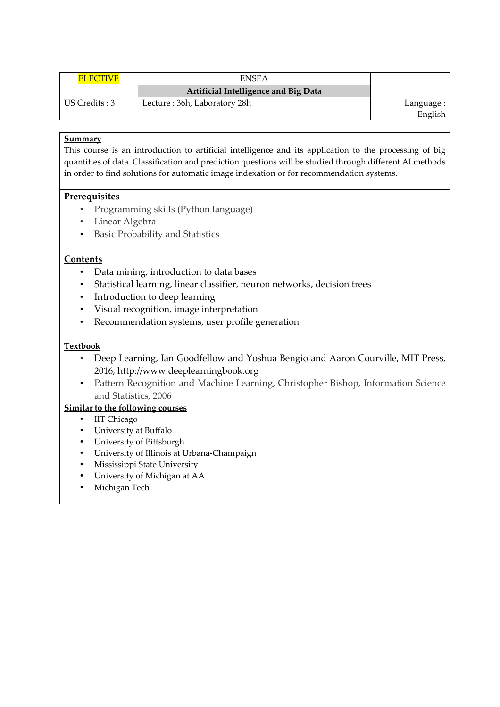| <b>ELECTIVE</b> | <b>ENSEA</b>                         |            |
|-----------------|--------------------------------------|------------|
|                 | Artificial Intelligence and Big Data |            |
| US Credits : 3  | Lecture: 36h, Laboratory 28h         | Language : |
|                 |                                      | English    |

This course is an introduction to artificial intelligence and its application to the processing of big quantities of data. Classification and prediction questions will be studied through different AI methods in order to find solutions for automatic image indexation or for recommendation systems.

# **Prerequisites**

- Programming skills (Python language)
- Linear Algebra
- Basic Probability and Statistics

# **Contents**

- Data mining, introduction to data bases
- Statistical learning, linear classifier, neuron networks, decision trees
- Introduction to deep learning
- Visual recognition, image interpretation
- Recommendation systems, user profile generation

## **Textbook**

- Deep Learning, Ian Goodfellow and Yoshua Bengio and Aaron Courville, MIT Press, 2016, http://www.deeplearningbook.org
- Pattern Recognition and Machine Learning, Christopher Bishop, Information Science and Statistics, 2006

- IIT Chicago
- University at Buffalo
- University of Pittsburgh
- University of Illinois at Urbana-Champaign
- Mississippi State University
- University of Michigan at AA
- Michigan Tech